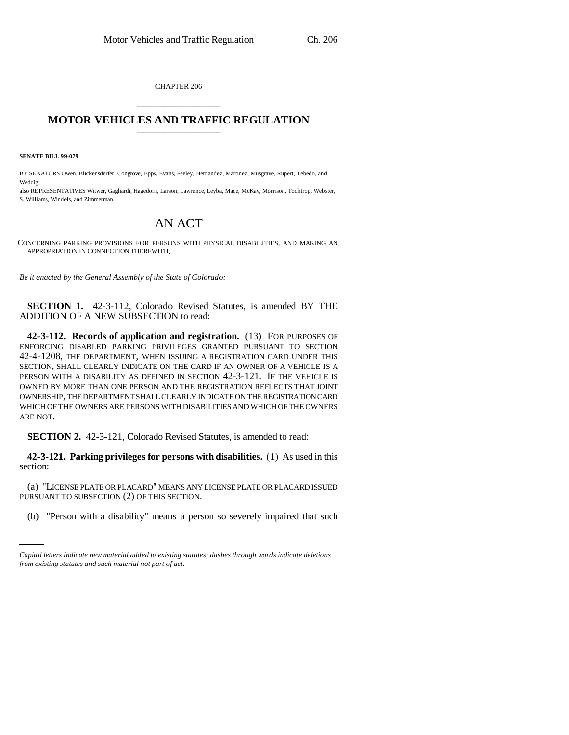CHAPTER 206 \_\_\_\_\_\_\_\_\_\_\_\_\_\_\_

## **MOTOR VEHICLES AND TRAFFIC REGULATION** \_\_\_\_\_\_\_\_\_\_\_\_\_\_\_

**SENATE BILL 99-079**

BY SENATORS Owen, Blickensderfer, Congrove, Epps, Evans, Feeley, Hernandez, Martinez, Musgrave, Rupert, Tebedo, and Weddig;

also REPRESENTATIVES Witwer, Gagliardi, Hagedorn, Larson, Lawrence, Leyba, Mace, McKay, Morrison, Tochtrop, Webster, S. Williams, Windels, and Zimmerman.

## AN ACT

CONCERNING PARKING PROVISIONS FOR PERSONS WITH PHYSICAL DISABILITIES, AND MAKING AN APPROPRIATION IN CONNECTION THEREWITH.

*Be it enacted by the General Assembly of the State of Colorado:*

**SECTION 1.** 42-3-112, Colorado Revised Statutes, is amended BY THE ADDITION OF A NEW SUBSECTION to read:

**42-3-112. Records of application and registration.** (13) FOR PURPOSES OF ENFORCING DISABLED PARKING PRIVILEGES GRANTED PURSUANT TO SECTION 42-4-1208, THE DEPARTMENT, WHEN ISSUING A REGISTRATION CARD UNDER THIS SECTION, SHALL CLEARLY INDICATE ON THE CARD IF AN OWNER OF A VEHICLE IS A PERSON WITH A DISABILITY AS DEFINED IN SECTION 42-3-121. IF THE VEHICLE IS OWNED BY MORE THAN ONE PERSON AND THE REGISTRATION REFLECTS THAT JOINT OWNERSHIP, THE DEPARTMENT SHALL CLEARLY INDICATE ON THE REGISTRATION CARD WHICH OF THE OWNERS ARE PERSONS WITH DISABILITIES AND WHICH OF THE OWNERS ARE NOT.

**SECTION 2.** 42-3-121, Colorado Revised Statutes, is amended to read:

**42-3-121. Parking privileges for persons with disabilities.** (1) As used in this section:

PURSUANT TO SUBSECTION (2) OF THIS SECTION. (a) "LICENSE PLATE OR PLACARD" MEANS ANY LICENSE PLATE OR PLACARD ISSUED

(b) "Person with a disability" means a person so severely impaired that such

*Capital letters indicate new material added to existing statutes; dashes through words indicate deletions from existing statutes and such material not part of act.*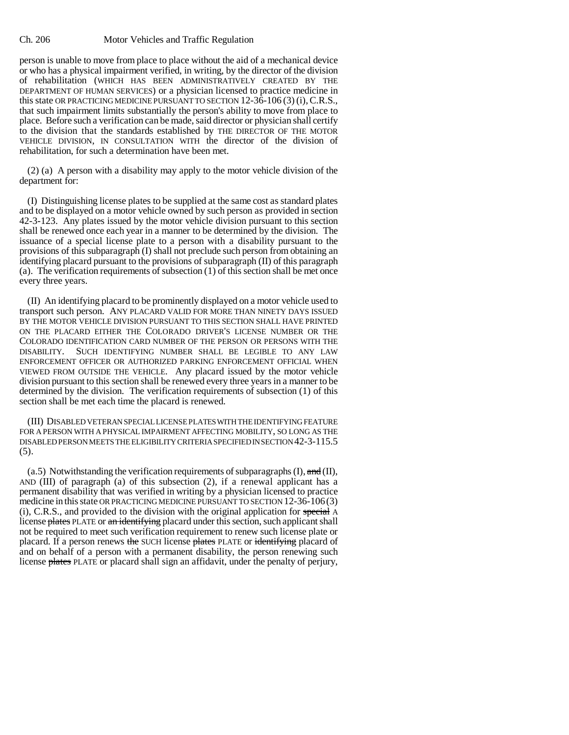## Ch. 206 Motor Vehicles and Traffic Regulation

person is unable to move from place to place without the aid of a mechanical device or who has a physical impairment verified, in writing, by the director of the division of rehabilitation (WHICH HAS BEEN ADMINISTRATIVELY CREATED BY THE DEPARTMENT OF HUMAN SERVICES) or a physician licensed to practice medicine in this state OR PRACTICING MEDICINE PURSUANT TO SECTION 12-36-106 (3) (i), C.R.S., that such impairment limits substantially the person's ability to move from place to place. Before such a verification can be made, said director or physician shall certify to the division that the standards established by THE DIRECTOR OF THE MOTOR VEHICLE DIVISION, IN CONSULTATION WITH the director of the division of rehabilitation, for such a determination have been met.

(2) (a) A person with a disability may apply to the motor vehicle division of the department for:

(I) Distinguishing license plates to be supplied at the same cost as standard plates and to be displayed on a motor vehicle owned by such person as provided in section 42-3-123. Any plates issued by the motor vehicle division pursuant to this section shall be renewed once each year in a manner to be determined by the division. The issuance of a special license plate to a person with a disability pursuant to the provisions of this subparagraph (I) shall not preclude such person from obtaining an identifying placard pursuant to the provisions of subparagraph (II) of this paragraph (a). The verification requirements of subsection (1) of this section shall be met once every three years.

(II) An identifying placard to be prominently displayed on a motor vehicle used to transport such person. ANY PLACARD VALID FOR MORE THAN NINETY DAYS ISSUED BY THE MOTOR VEHICLE DIVISION PURSUANT TO THIS SECTION SHALL HAVE PRINTED ON THE PLACARD EITHER THE COLORADO DRIVER'S LICENSE NUMBER OR THE COLORADO IDENTIFICATION CARD NUMBER OF THE PERSON OR PERSONS WITH THE DISABILITY. SUCH IDENTIFYING NUMBER SHALL BE LEGIBLE TO ANY LAW ENFORCEMENT OFFICER OR AUTHORIZED PARKING ENFORCEMENT OFFICIAL WHEN VIEWED FROM OUTSIDE THE VEHICLE. Any placard issued by the motor vehicle division pursuant to this section shall be renewed every three years in a manner to be determined by the division. The verification requirements of subsection (1) of this section shall be met each time the placard is renewed.

(III) DISABLED VETERAN SPECIAL LICENSE PLATES WITH THE IDENTIFYING FEATURE FOR A PERSON WITH A PHYSICAL IMPAIRMENT AFFECTING MOBILITY, SO LONG AS THE DISABLED PERSON MEETS THE ELIGIBILITY CRITERIA SPECIFIED IN SECTION 42-3-115.5  $(5).$ 

(a.5) Notwithstanding the verification requirements of subparagraphs  $(I)$ , and  $(II)$ , AND (III) of paragraph (a) of this subsection (2), if a renewal applicant has a permanent disability that was verified in writing by a physician licensed to practice medicine in this state OR PRACTICING MEDICINE PURSUANT TO SECTION 12-36-106(3) (i), C.R.S., and provided to the division with the original application for special A license plates PLATE or an identifying placard under this section, such applicant shall not be required to meet such verification requirement to renew such license plate or placard. If a person renews the SUCH license plates PLATE or identifying placard of and on behalf of a person with a permanent disability, the person renewing such license plates PLATE or placard shall sign an affidavit, under the penalty of perjury,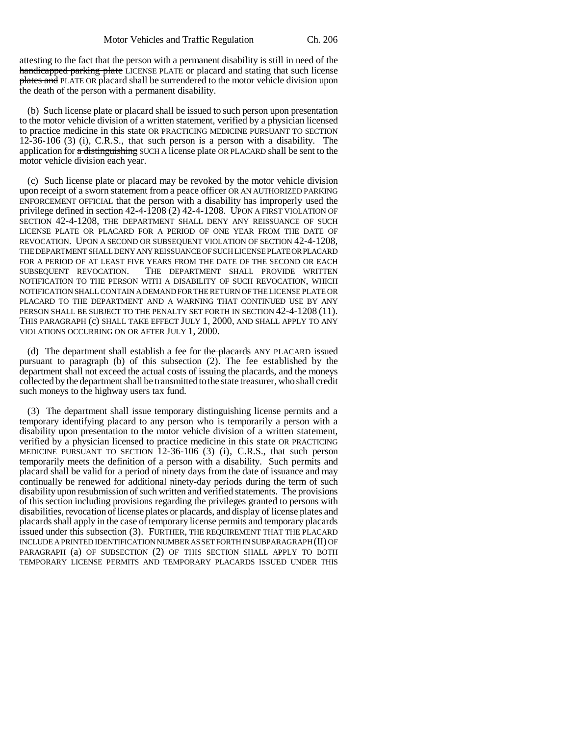attesting to the fact that the person with a permanent disability is still in need of the handicapped parking plate LICENSE PLATE or placard and stating that such license plates and PLATE OR placard shall be surrendered to the motor vehicle division upon the death of the person with a permanent disability.

(b) Such license plate or placard shall be issued to such person upon presentation to the motor vehicle division of a written statement, verified by a physician licensed to practice medicine in this state OR PRACTICING MEDICINE PURSUANT TO SECTION 12-36-106 (3) (i), C.R.S., that such person is a person with a disability. The application for a distinguishing SUCH A license plate OR PLACARD shall be sent to the motor vehicle division each year.

(c) Such license plate or placard may be revoked by the motor vehicle division upon receipt of a sworn statement from a peace officer OR AN AUTHORIZED PARKING ENFORCEMENT OFFICIAL that the person with a disability has improperly used the privilege defined in section  $42-4-1208$   $(2)$  42-4-1208. UPON A FIRST VIOLATION OF SECTION 42-4-1208, THE DEPARTMENT SHALL DENY ANY REISSUANCE OF SUCH LICENSE PLATE OR PLACARD FOR A PERIOD OF ONE YEAR FROM THE DATE OF REVOCATION. UPON A SECOND OR SUBSEQUENT VIOLATION OF SECTION 42-4-1208, THE DEPARTMENT SHALL DENY ANY REISSUANCE OF SUCH LICENSE PLATE OR PLACARD FOR A PERIOD OF AT LEAST FIVE YEARS FROM THE DATE OF THE SECOND OR EACH SUBSEQUENT REVOCATION. THE DEPARTMENT SHALL PROVIDE WRITTEN NOTIFICATION TO THE PERSON WITH A DISABILITY OF SUCH REVOCATION, WHICH NOTIFICATION SHALL CONTAIN A DEMAND FOR THE RETURN OF THE LICENSE PLATE OR PLACARD TO THE DEPARTMENT AND A WARNING THAT CONTINUED USE BY ANY PERSON SHALL BE SUBJECT TO THE PENALTY SET FORTH IN SECTION 42-4-1208 (11). THIS PARAGRAPH (c) SHALL TAKE EFFECT JULY 1, 2000, AND SHALL APPLY TO ANY VIOLATIONS OCCURRING ON OR AFTER JULY 1, 2000.

(d) The department shall establish a fee for the placards ANY PLACARD issued pursuant to paragraph (b) of this subsection (2). The fee established by the department shall not exceed the actual costs of issuing the placards, and the moneys collected by the department shall be transmitted to the state treasurer, who shall credit such moneys to the highway users tax fund.

(3) The department shall issue temporary distinguishing license permits and a temporary identifying placard to any person who is temporarily a person with a disability upon presentation to the motor vehicle division of a written statement, verified by a physician licensed to practice medicine in this state OR PRACTICING MEDICINE PURSUANT TO SECTION 12-36-106 (3) (i), C.R.S., that such person temporarily meets the definition of a person with a disability. Such permits and placard shall be valid for a period of ninety days from the date of issuance and may continually be renewed for additional ninety-day periods during the term of such disability upon resubmission of such written and verified statements. The provisions of this section including provisions regarding the privileges granted to persons with disabilities, revocation of license plates or placards, and display of license plates and placards shall apply in the case of temporary license permits and temporary placards issued under this subsection (3). FURTHER, THE REQUIREMENT THAT THE PLACARD INCLUDE A PRINTED IDENTIFICATION NUMBER AS SET FORTH IN SUBPARAGRAPH (II) OF PARAGRAPH (a) OF SUBSECTION (2) OF THIS SECTION SHALL APPLY TO BOTH TEMPORARY LICENSE PERMITS AND TEMPORARY PLACARDS ISSUED UNDER THIS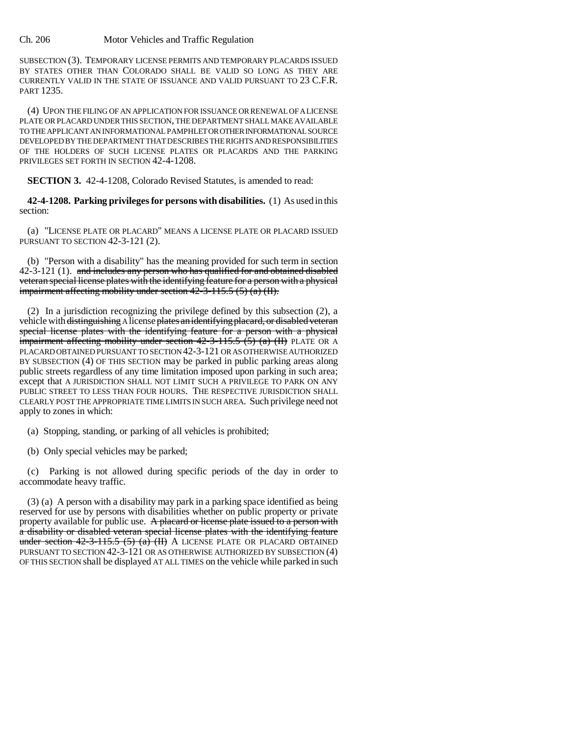SUBSECTION (3). TEMPORARY LICENSE PERMITS AND TEMPORARY PLACARDS ISSUED BY STATES OTHER THAN COLORADO SHALL BE VALID SO LONG AS THEY ARE CURRENTLY VALID IN THE STATE OF ISSUANCE AND VALID PURSUANT TO 23 C.F.R. PART 1235.

(4) UPON THE FILING OF AN APPLICATION FOR ISSUANCE OR RENEWAL OF A LICENSE PLATE OR PLACARD UNDER THIS SECTION, THE DEPARTMENT SHALL MAKE AVAILABLE TO THE APPLICANT AN INFORMATIONAL PAMPHLET OR OTHER INFORMATIONAL SOURCE DEVELOPED BY THE DEPARTMENT THAT DESCRIBES THE RIGHTS AND RESPONSIBILITIES OF THE HOLDERS OF SUCH LICENSE PLATES OR PLACARDS AND THE PARKING PRIVILEGES SET FORTH IN SECTION 42-4-1208.

**SECTION 3.** 42-4-1208, Colorado Revised Statutes, is amended to read:

**42-4-1208. Parking privileges for persons with disabilities.** (1) As used in this section:

(a) "LICENSE PLATE OR PLACARD" MEANS A LICENSE PLATE OR PLACARD ISSUED PURSUANT TO SECTION 42-3-121 (2).

(b) "Person with a disability" has the meaning provided for such term in section  $42-3-121$  (1). and includes any person who has qualified for and obtained disabled veteran special license plates with the identifying feature for a person with a physical impairment affecting mobility under section  $42-3-115.5(5)(a)(II)$ .

(2) In a jurisdiction recognizing the privilege defined by this subsection (2), a vehicle with distinguishing A license plates an identifying placard, or disabled veteran special license plates with the identifying feature for a person with a physical impairment affecting mobility under section  $42-3-115.5$  (5) (a) (II) PLATE OR A PLACARD OBTAINED PURSUANT TO SECTION 42-3-121 OR AS OTHERWISE AUTHORIZED BY SUBSECTION (4) OF THIS SECTION may be parked in public parking areas along public streets regardless of any time limitation imposed upon parking in such area; except that A JURISDICTION SHALL NOT LIMIT SUCH A PRIVILEGE TO PARK ON ANY PUBLIC STREET TO LESS THAN FOUR HOURS. THE RESPECTIVE JURISDICTION SHALL CLEARLY POST THE APPROPRIATE TIME LIMITS IN SUCH AREA. Such privilege need not apply to zones in which:

(a) Stopping, standing, or parking of all vehicles is prohibited;

(b) Only special vehicles may be parked;

(c) Parking is not allowed during specific periods of the day in order to accommodate heavy traffic.

(3) (a) A person with a disability may park in a parking space identified as being reserved for use by persons with disabilities whether on public property or private property available for public use. A placard or license plate issued to a person with a disability or disabled veteran special license plates with the identifying feature under section  $42-3-115.5$  (5) (a) (II) A LICENSE PLATE OR PLACARD OBTAINED PURSUANT TO SECTION 42-3-121 OR AS OTHERWISE AUTHORIZED BY SUBSECTION (4) OF THIS SECTION shall be displayed AT ALL TIMES on the vehicle while parked in such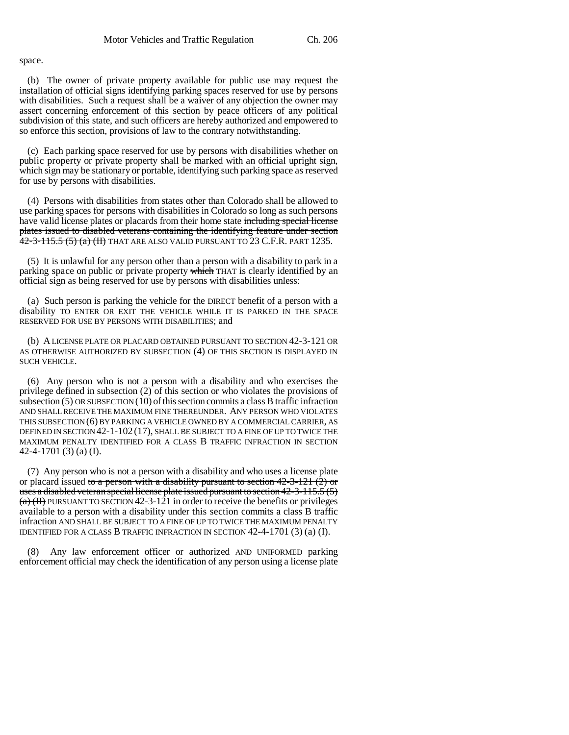space.

(b) The owner of private property available for public use may request the installation of official signs identifying parking spaces reserved for use by persons with disabilities. Such a request shall be a waiver of any objection the owner may assert concerning enforcement of this section by peace officers of any political subdivision of this state, and such officers are hereby authorized and empowered to so enforce this section, provisions of law to the contrary notwithstanding.

(c) Each parking space reserved for use by persons with disabilities whether on public property or private property shall be marked with an official upright sign, which sign may be stationary or portable, identifying such parking space as reserved for use by persons with disabilities.

(4) Persons with disabilities from states other than Colorado shall be allowed to use parking spaces for persons with disabilities in Colorado so long as such persons have valid license plates or placards from their home state including special license plates issued to disabled veterans containing the identifying feature under section  $\frac{42-3-115.5 (5) (a) (II)}{42-3-115.5 (b) (a)}$  That are also valid pursuant to 23 C.F.R. part 1235.

(5) It is unlawful for any person other than a person with a disability to park in a parking space on public or private property which THAT is clearly identified by an official sign as being reserved for use by persons with disabilities unless:

(a) Such person is parking the vehicle for the DIRECT benefit of a person with a disability TO ENTER OR EXIT THE VEHICLE WHILE IT IS PARKED IN THE SPACE RESERVED FOR USE BY PERSONS WITH DISABILITIES; and

(b) A LICENSE PLATE OR PLACARD OBTAINED PURSUANT TO SECTION 42-3-121 OR AS OTHERWISE AUTHORIZED BY SUBSECTION (4) OF THIS SECTION IS DISPLAYED IN SUCH VEHICLE.

(6) Any person who is not a person with a disability and who exercises the privilege defined in subsection (2) of this section or who violates the provisions of subsection  $(5)$  OR SUBSECTION  $(10)$  of this section commits a class B traffic infraction AND SHALL RECEIVE THE MAXIMUM FINE THEREUNDER. ANY PERSON WHO VIOLATES THIS SUBSECTION (6) BY PARKING A VEHICLE OWNED BY A COMMERCIAL CARRIER, AS DEFINED IN SECTION 42-1-102 (17), SHALL BE SUBJECT TO A FINE OF UP TO TWICE THE MAXIMUM PENALTY IDENTIFIED FOR A CLASS B TRAFFIC INFRACTION IN SECTION 42-4-1701 (3) (a) (I).

(7) Any person who is not a person with a disability and who uses a license plate or placard issued to a person with a disability pursuant to section  $42-3-121(2)$  or uses a disabled veteran special license plate issued pursuant to section 42-3-115.5 (5)  $(a)$  (H) PURSUANT TO SECTION 42-3-121 in order to receive the benefits or privileges available to a person with a disability under this section commits a class B traffic infraction AND SHALL BE SUBJECT TO A FINE OF UP TO TWICE THE MAXIMUM PENALTY IDENTIFIED FOR A CLASS B TRAFFIC INFRACTION IN SECTION 42-4-1701 (3) (a) (I).

(8) Any law enforcement officer or authorized AND UNIFORMED parking enforcement official may check the identification of any person using a license plate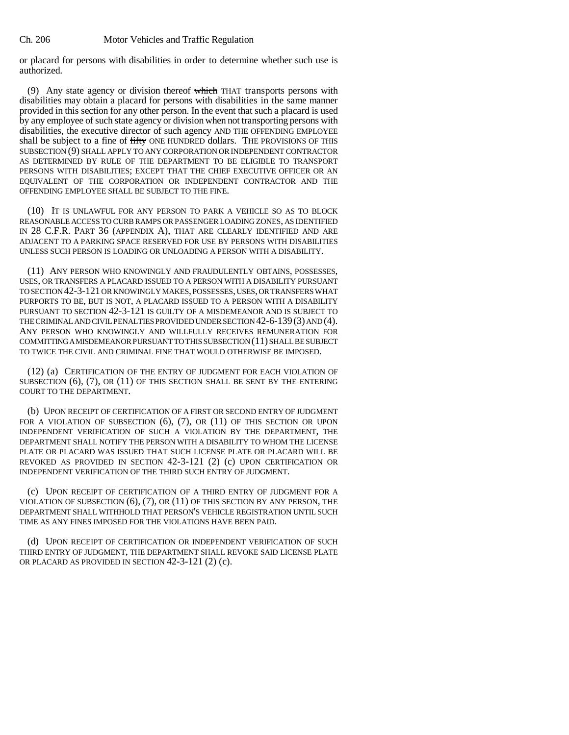or placard for persons with disabilities in order to determine whether such use is authorized.

(9) Any state agency or division thereof which THAT transports persons with disabilities may obtain a placard for persons with disabilities in the same manner provided in this section for any other person. In the event that such a placard is used by any employee of such state agency or division when not transporting persons with disabilities, the executive director of such agency AND THE OFFENDING EMPLOYEE shall be subject to a fine of fifty ONE HUNDRED dollars. THE PROVISIONS OF THIS SUBSECTION (9) SHALL APPLY TO ANY CORPORATION OR INDEPENDENT CONTRACTOR AS DETERMINED BY RULE OF THE DEPARTMENT TO BE ELIGIBLE TO TRANSPORT PERSONS WITH DISABILITIES; EXCEPT THAT THE CHIEF EXECUTIVE OFFICER OR AN EQUIVALENT OF THE CORPORATION OR INDEPENDENT CONTRACTOR AND THE OFFENDING EMPLOYEE SHALL BE SUBJECT TO THE FINE.

(10) IT IS UNLAWFUL FOR ANY PERSON TO PARK A VEHICLE SO AS TO BLOCK REASONABLE ACCESS TO CURB RAMPS OR PASSENGER LOADING ZONES, AS IDENTIFIED IN 28 C.F.R. PART 36 (APPENDIX A), THAT ARE CLEARLY IDENTIFIED AND ARE ADJACENT TO A PARKING SPACE RESERVED FOR USE BY PERSONS WITH DISABILITIES UNLESS SUCH PERSON IS LOADING OR UNLOADING A PERSON WITH A DISABILITY.

(11) ANY PERSON WHO KNOWINGLY AND FRAUDULENTLY OBTAINS, POSSESSES, USES, OR TRANSFERS A PLACARD ISSUED TO A PERSON WITH A DISABILITY PURSUANT TO SECTION 42-3-121 OR KNOWINGLY MAKES, POSSESSES, USES, OR TRANSFERS WHAT PURPORTS TO BE, BUT IS NOT, A PLACARD ISSUED TO A PERSON WITH A DISABILITY PURSUANT TO SECTION 42-3-121 IS GUILTY OF A MISDEMEANOR AND IS SUBJECT TO THE CRIMINAL AND CIVIL PENALTIES PROVIDED UNDER SECTION 42-6-139(3) AND (4). ANY PERSON WHO KNOWINGLY AND WILLFULLY RECEIVES REMUNERATION FOR COMMITTING A MISDEMEANOR PURSUANT TO THIS SUBSECTION (11) SHALL BE SUBJECT TO TWICE THE CIVIL AND CRIMINAL FINE THAT WOULD OTHERWISE BE IMPOSED.

(12) (a) CERTIFICATION OF THE ENTRY OF JUDGMENT FOR EACH VIOLATION OF SUBSECTION (6), (7), OR (11) OF THIS SECTION SHALL BE SENT BY THE ENTERING COURT TO THE DEPARTMENT.

(b) UPON RECEIPT OF CERTIFICATION OF A FIRST OR SECOND ENTRY OF JUDGMENT FOR A VIOLATION OF SUBSECTION (6), (7), OR (11) OF THIS SECTION OR UPON INDEPENDENT VERIFICATION OF SUCH A VIOLATION BY THE DEPARTMENT, THE DEPARTMENT SHALL NOTIFY THE PERSON WITH A DISABILITY TO WHOM THE LICENSE PLATE OR PLACARD WAS ISSUED THAT SUCH LICENSE PLATE OR PLACARD WILL BE REVOKED AS PROVIDED IN SECTION 42-3-121 (2) (c) UPON CERTIFICATION OR INDEPENDENT VERIFICATION OF THE THIRD SUCH ENTRY OF JUDGMENT.

(c) UPON RECEIPT OF CERTIFICATION OF A THIRD ENTRY OF JUDGMENT FOR A VIOLATION OF SUBSECTION (6), (7), OR (11) OF THIS SECTION BY ANY PERSON, THE DEPARTMENT SHALL WITHHOLD THAT PERSON'S VEHICLE REGISTRATION UNTIL SUCH TIME AS ANY FINES IMPOSED FOR THE VIOLATIONS HAVE BEEN PAID.

(d) UPON RECEIPT OF CERTIFICATION OR INDEPENDENT VERIFICATION OF SUCH THIRD ENTRY OF JUDGMENT, THE DEPARTMENT SHALL REVOKE SAID LICENSE PLATE OR PLACARD AS PROVIDED IN SECTION 42-3-121 (2) (c).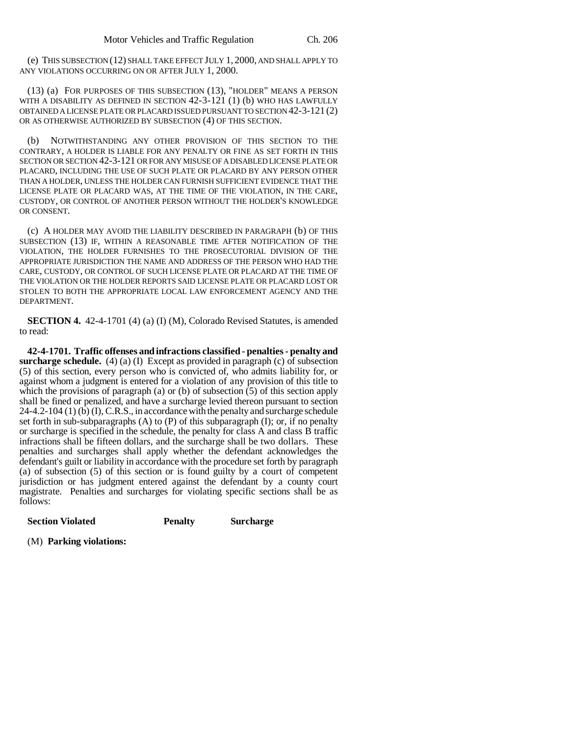(e) THIS SUBSECTION (12) SHALL TAKE EFFECT JULY 1, 2000, AND SHALL APPLY TO ANY VIOLATIONS OCCURRING ON OR AFTER JULY 1, 2000.

(13) (a) FOR PURPOSES OF THIS SUBSECTION (13), "HOLDER" MEANS A PERSON WITH A DISABILITY AS DEFINED IN SECTION 42-3-121 (1) (b) WHO HAS LAWFULLY OBTAINED A LICENSE PLATE OR PLACARD ISSUED PURSUANT TO SECTION 42-3-121 (2) OR AS OTHERWISE AUTHORIZED BY SUBSECTION (4) OF THIS SECTION.

(b) NOTWITHSTANDING ANY OTHER PROVISION OF THIS SECTION TO THE CONTRARY, A HOLDER IS LIABLE FOR ANY PENALTY OR FINE AS SET FORTH IN THIS SECTION OR SECTION 42-3-121 OR FOR ANY MISUSE OF A DISABLED LICENSE PLATE OR PLACARD, INCLUDING THE USE OF SUCH PLATE OR PLACARD BY ANY PERSON OTHER THAN A HOLDER, UNLESS THE HOLDER CAN FURNISH SUFFICIENT EVIDENCE THAT THE LICENSE PLATE OR PLACARD WAS, AT THE TIME OF THE VIOLATION, IN THE CARE, CUSTODY, OR CONTROL OF ANOTHER PERSON WITHOUT THE HOLDER'S KNOWLEDGE OR CONSENT.

(c) A HOLDER MAY AVOID THE LIABILITY DESCRIBED IN PARAGRAPH (b) OF THIS SUBSECTION (13) IF, WITHIN A REASONABLE TIME AFTER NOTIFICATION OF THE VIOLATION, THE HOLDER FURNISHES TO THE PROSECUTORIAL DIVISION OF THE APPROPRIATE JURISDICTION THE NAME AND ADDRESS OF THE PERSON WHO HAD THE CARE, CUSTODY, OR CONTROL OF SUCH LICENSE PLATE OR PLACARD AT THE TIME OF THE VIOLATION OR THE HOLDER REPORTS SAID LICENSE PLATE OR PLACARD LOST OR STOLEN TO BOTH THE APPROPRIATE LOCAL LAW ENFORCEMENT AGENCY AND THE DEPARTMENT.

**SECTION 4.** 42-4-1701 (4) (a) (I) (M), Colorado Revised Statutes, is amended to read:

**42-4-1701. Traffic offenses and infractions classified - penalties - penalty and surcharge schedule.** (4) (a) (I) Except as provided in paragraph (c) of subsection (5) of this section, every person who is convicted of, who admits liability for, or against whom a judgment is entered for a violation of any provision of this title to which the provisions of paragraph (a) or (b) of subsection (5) of this section apply shall be fined or penalized, and have a surcharge levied thereon pursuant to section 24-4.2-104 (1) (b) (I), C.R.S., in accordance with the penalty and surcharge schedule set forth in sub-subparagraphs  $(A)$  to  $(P)$  of this subparagraph  $(I)$ ; or, if no penalty or surcharge is specified in the schedule, the penalty for class A and class B traffic infractions shall be fifteen dollars, and the surcharge shall be two dollars. These penalties and surcharges shall apply whether the defendant acknowledges the defendant's guilt or liability in accordance with the procedure set forth by paragraph (a) of subsection (5) of this section or is found guilty by a court of competent jurisdiction or has judgment entered against the defendant by a county court magistrate. Penalties and surcharges for violating specific sections shall be as follows:

| <b>Section Violated</b> | <b>Penalty</b> | <b>Surcharge</b> |
|-------------------------|----------------|------------------|
|                         |                |                  |

(M) **Parking violations:**